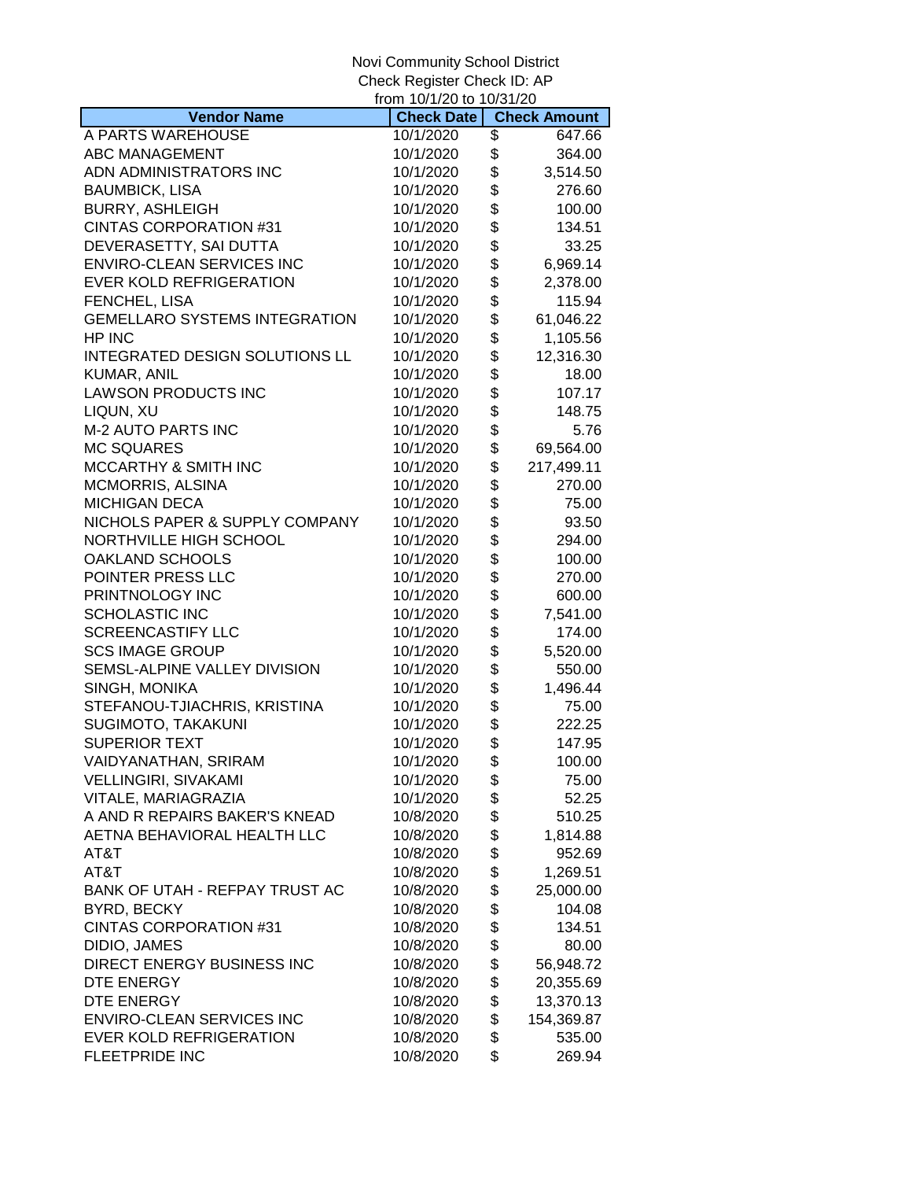|                                      | from 10/1/20 to 10/31/20 |                     |
|--------------------------------------|--------------------------|---------------------|
| <b>Vendor Name</b>                   | <b>Check Date</b>        | <b>Check Amount</b> |
| A PARTS WAREHOUSE                    | 10/1/2020                | \$<br>647.66        |
| ABC MANAGEMENT                       | 10/1/2020                | \$<br>364.00        |
| ADN ADMINISTRATORS INC               | 10/1/2020                | \$<br>3,514.50      |
| <b>BAUMBICK, LISA</b>                | 10/1/2020                | \$<br>276.60        |
| <b>BURRY, ASHLEIGH</b>               | 10/1/2020                | \$<br>100.00        |
| <b>CINTAS CORPORATION #31</b>        | 10/1/2020                | \$<br>134.51        |
| DEVERASETTY, SAI DUTTA               | 10/1/2020                | \$<br>33.25         |
| <b>ENVIRO-CLEAN SERVICES INC</b>     | 10/1/2020                | \$<br>6,969.14      |
| <b>EVER KOLD REFRIGERATION</b>       | 10/1/2020                | \$<br>2,378.00      |
| FENCHEL, LISA                        | 10/1/2020                | \$<br>115.94        |
| <b>GEMELLARO SYSTEMS INTEGRATION</b> | 10/1/2020                | \$<br>61,046.22     |
| HP INC                               | 10/1/2020                | \$<br>1,105.56      |
| INTEGRATED DESIGN SOLUTIONS LL       | 10/1/2020                | \$<br>12,316.30     |
| KUMAR, ANIL                          | 10/1/2020                | \$<br>18.00         |
| <b>LAWSON PRODUCTS INC</b>           | 10/1/2020                | \$<br>107.17        |
| LIQUN, XU                            | 10/1/2020                | \$<br>148.75        |
| <b>M-2 AUTO PARTS INC</b>            | 10/1/2020                | \$<br>5.76          |
| <b>MC SQUARES</b>                    | 10/1/2020                | \$<br>69,564.00     |
| MCCARTHY & SMITH INC                 | 10/1/2020                | \$<br>217,499.11    |
| MCMORRIS, ALSINA                     | 10/1/2020                | \$<br>270.00        |
| <b>MICHIGAN DECA</b>                 | 10/1/2020                | \$<br>75.00         |
| NICHOLS PAPER & SUPPLY COMPANY       | 10/1/2020                | \$<br>93.50         |
| NORTHVILLE HIGH SCHOOL               | 10/1/2020                | \$<br>294.00        |
| OAKLAND SCHOOLS                      | 10/1/2020                | \$<br>100.00        |
| POINTER PRESS LLC                    | 10/1/2020                | \$<br>270.00        |
| PRINTNOLOGY INC                      | 10/1/2020                | \$<br>600.00        |
| <b>SCHOLASTIC INC</b>                | 10/1/2020                | \$<br>7,541.00      |
| <b>SCREENCASTIFY LLC</b>             | 10/1/2020                | \$<br>174.00        |
| <b>SCS IMAGE GROUP</b>               | 10/1/2020                | \$<br>5,520.00      |
| SEMSL-ALPINE VALLEY DIVISION         | 10/1/2020                | \$<br>550.00        |
| SINGH, MONIKA                        | 10/1/2020                | \$<br>1,496.44      |
| STEFANOU-TJIACHRIS, KRISTINA         | 10/1/2020                | \$<br>75.00         |
| SUGIMOTO, TAKAKUNI                   | 10/1/2020                | \$<br>222.25        |
| <b>SUPERIOR TEXT</b>                 | 10/1/2020                | \$<br>147.95        |
| VAIDYANATHAN, SRIRAM                 | 10/1/2020                | \$<br>100.00        |
| <b>VELLINGIRI, SIVAKAMI</b>          | 10/1/2020                | \$<br>75.00         |
| VITALE, MARIAGRAZIA                  | 10/1/2020                | \$<br>52.25         |
| A AND R REPAIRS BAKER'S KNEAD        | 10/8/2020                | \$<br>510.25        |
| AETNA BEHAVIORAL HEALTH LLC          | 10/8/2020                | \$<br>1,814.88      |
| AT&T                                 | 10/8/2020                | \$<br>952.69        |
| AT&T                                 | 10/8/2020                | \$<br>1,269.51      |
| BANK OF UTAH - REFPAY TRUST AC       | 10/8/2020                | \$<br>25,000.00     |
| BYRD, BECKY                          | 10/8/2020                | \$<br>104.08        |
| CINTAS CORPORATION #31               | 10/8/2020                | \$<br>134.51        |
| DIDIO, JAMES                         | 10/8/2020                | \$<br>80.00         |
| DIRECT ENERGY BUSINESS INC           | 10/8/2020                | \$<br>56,948.72     |
| DTE ENERGY                           | 10/8/2020                | \$<br>20,355.69     |
| DTE ENERGY                           | 10/8/2020                | \$<br>13,370.13     |
| ENVIRO-CLEAN SERVICES INC            | 10/8/2020                | \$<br>154,369.87    |
| EVER KOLD REFRIGERATION              | 10/8/2020                | \$<br>535.00        |
| <b>FLEETPRIDE INC</b>                | 10/8/2020                | \$<br>269.94        |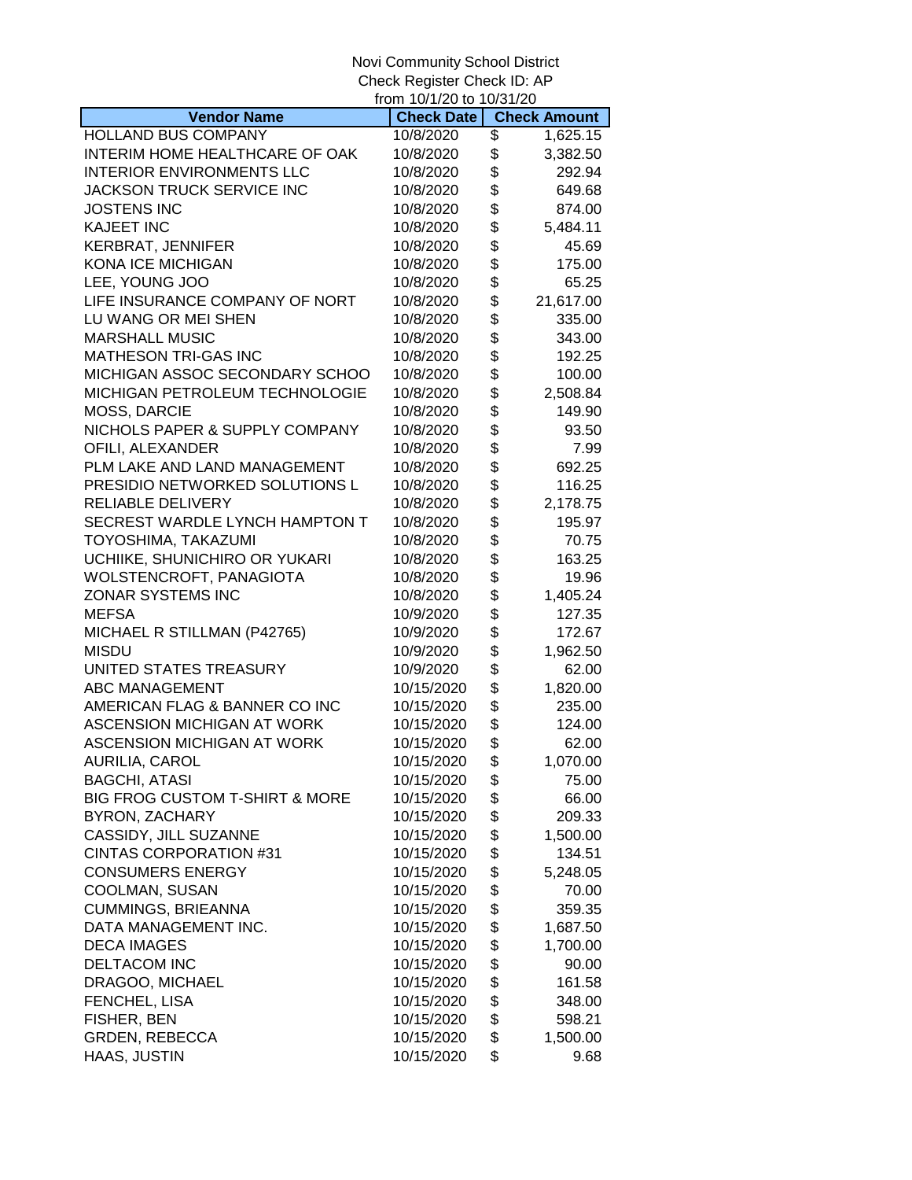|                                  | from 10/1/20 to 10/31/20 |                     |
|----------------------------------|--------------------------|---------------------|
| <b>Vendor Name</b>               | <b>Check Date</b>        | <b>Check Amount</b> |
| <b>HOLLAND BUS COMPANY</b>       | 10/8/2020                | \$<br>1,625.15      |
| INTERIM HOME HEALTHCARE OF OAK   | 10/8/2020                | \$<br>3,382.50      |
| <b>INTERIOR ENVIRONMENTS LLC</b> | 10/8/2020                | \$<br>292.94        |
| JACKSON TRUCK SERVICE INC        | 10/8/2020                | \$<br>649.68        |
| <b>JOSTENS INC</b>               | 10/8/2020                | \$<br>874.00        |
| <b>KAJEET INC</b>                | 10/8/2020                | \$<br>5,484.11      |
| <b>KERBRAT, JENNIFER</b>         | 10/8/2020                | \$<br>45.69         |
| <b>KONA ICE MICHIGAN</b>         | 10/8/2020                | \$<br>175.00        |
| LEE, YOUNG JOO                   | 10/8/2020                | \$<br>65.25         |
| LIFE INSURANCE COMPANY OF NORT   | 10/8/2020                | \$<br>21,617.00     |
| LU WANG OR MEI SHEN              | 10/8/2020                | \$<br>335.00        |
| <b>MARSHALL MUSIC</b>            | 10/8/2020                | \$<br>343.00        |
| <b>MATHESON TRI-GAS INC</b>      | 10/8/2020                | \$<br>192.25        |
| MICHIGAN ASSOC SECONDARY SCHOO   | 10/8/2020                | \$<br>100.00        |
| MICHIGAN PETROLEUM TECHNOLOGIE   | 10/8/2020                | \$<br>2,508.84      |
| MOSS, DARCIE                     | 10/8/2020                | \$<br>149.90        |
| NICHOLS PAPER & SUPPLY COMPANY   | 10/8/2020                | \$<br>93.50         |
| OFILI, ALEXANDER                 | 10/8/2020                | \$<br>7.99          |
| PLM LAKE AND LAND MANAGEMENT     | 10/8/2020                | \$<br>692.25        |
| PRESIDIO NETWORKED SOLUTIONS L   | 10/8/2020                | \$<br>116.25        |
| <b>RELIABLE DELIVERY</b>         | 10/8/2020                | \$<br>2,178.75      |
| SECREST WARDLE LYNCH HAMPTON T   | 10/8/2020                | \$<br>195.97        |
| TOYOSHIMA, TAKAZUMI              | 10/8/2020                | \$<br>70.75         |
| UCHIIKE, SHUNICHIRO OR YUKARI    | 10/8/2020                | \$<br>163.25        |
| WOLSTENCROFT, PANAGIOTA          | 10/8/2020                | \$<br>19.96         |
| ZONAR SYSTEMS INC                | 10/8/2020                | \$<br>1,405.24      |
| <b>MEFSA</b>                     | 10/9/2020                | \$<br>127.35        |
| MICHAEL R STILLMAN (P42765)      | 10/9/2020                | \$<br>172.67        |
| <b>MISDU</b>                     | 10/9/2020                | \$<br>1,962.50      |
| UNITED STATES TREASURY           | 10/9/2020                | \$<br>62.00         |
| ABC MANAGEMENT                   | 10/15/2020               | \$<br>1,820.00      |
| AMERICAN FLAG & BANNER CO INC    | 10/15/2020               | \$<br>235.00        |
| ASCENSION MICHIGAN AT WORK       | 10/15/2020               | \$<br>124.00        |
| ASCENSION MICHIGAN AT WORK       | 10/15/2020               | \$<br>62.00         |
| AURILIA, CAROL                   | 10/15/2020               | \$<br>1,070.00      |
| <b>BAGCHI, ATASI</b>             | 10/15/2020               | \$<br>75.00         |
| BIG FROG CUSTOM T-SHIRT & MORE   | 10/15/2020               | \$<br>66.00         |
| BYRON, ZACHARY                   | 10/15/2020               | \$<br>209.33        |
| CASSIDY, JILL SUZANNE            | 10/15/2020               | \$<br>1,500.00      |
| <b>CINTAS CORPORATION #31</b>    | 10/15/2020               | \$<br>134.51        |
| <b>CONSUMERS ENERGY</b>          | 10/15/2020               | \$<br>5,248.05      |
| COOLMAN, SUSAN                   | 10/15/2020               | \$<br>70.00         |
| <b>CUMMINGS, BRIEANNA</b>        | 10/15/2020               | \$<br>359.35        |
| DATA MANAGEMENT INC.             | 10/15/2020               | \$<br>1,687.50      |
| <b>DECA IMAGES</b>               | 10/15/2020               | \$<br>1,700.00      |
| <b>DELTACOM INC</b>              | 10/15/2020               | \$<br>90.00         |
| DRAGOO, MICHAEL                  | 10/15/2020               | \$<br>161.58        |
| FENCHEL, LISA                    | 10/15/2020               | \$<br>348.00        |
| FISHER, BEN                      | 10/15/2020               | \$<br>598.21        |
| <b>GRDEN, REBECCA</b>            | 10/15/2020               | \$<br>1,500.00      |
| HAAS, JUSTIN                     | 10/15/2020               | \$<br>9.68          |
|                                  |                          |                     |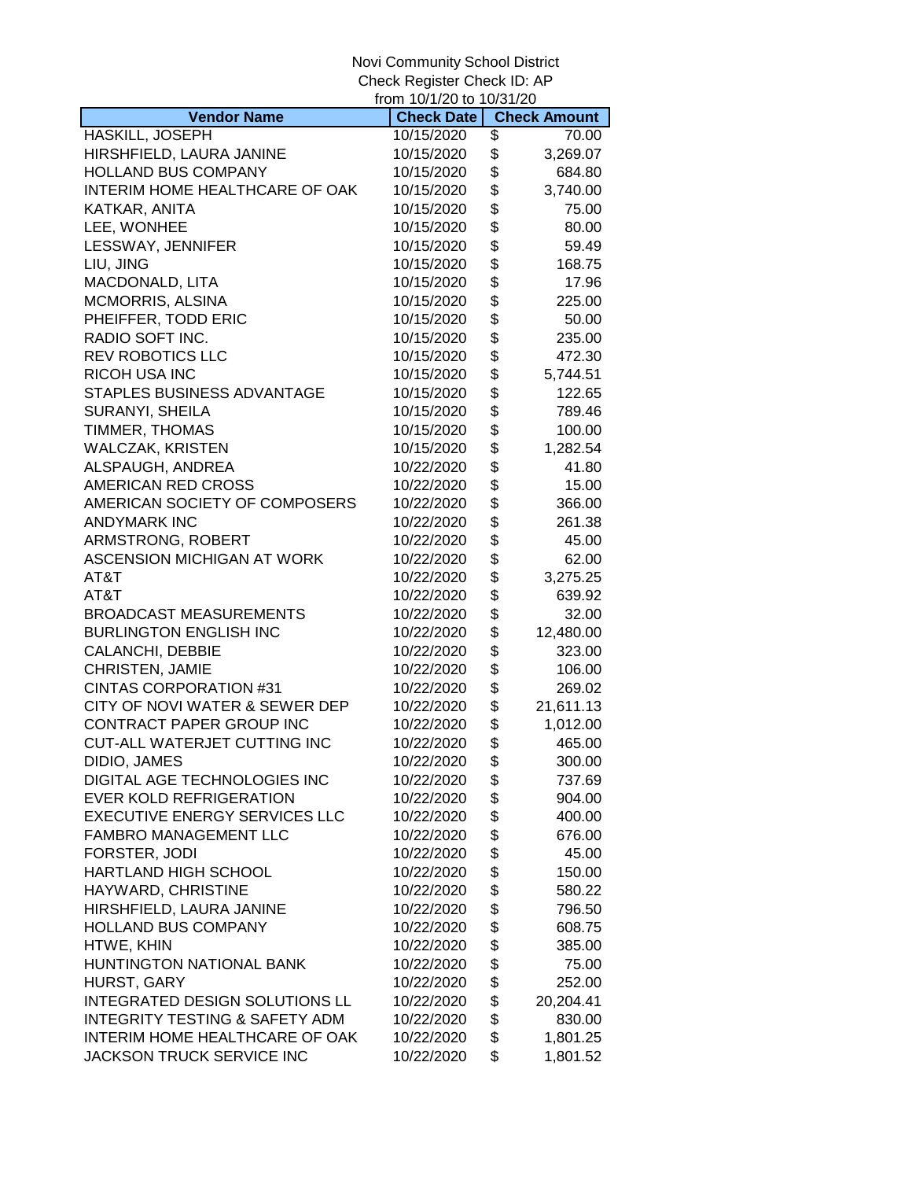|                                           | from 10/1/20 to 10/31/20 |                     |
|-------------------------------------------|--------------------------|---------------------|
| <b>Vendor Name</b>                        | <b>Check Date</b>        | <b>Check Amount</b> |
| HASKILL, JOSEPH                           | 10/15/2020               | \$<br>70.00         |
| HIRSHFIELD, LAURA JANINE                  | 10/15/2020               | \$<br>3,269.07      |
| <b>HOLLAND BUS COMPANY</b>                | 10/15/2020               | \$<br>684.80        |
| INTERIM HOME HEALTHCARE OF OAK            | 10/15/2020               | \$<br>3,740.00      |
| KATKAR, ANITA                             | 10/15/2020               | \$<br>75.00         |
| LEE, WONHEE                               | 10/15/2020               | \$<br>80.00         |
| LESSWAY, JENNIFER                         | 10/15/2020               | \$<br>59.49         |
| LIU, JING                                 | 10/15/2020               | \$<br>168.75        |
| MACDONALD, LITA                           | 10/15/2020               | \$<br>17.96         |
| MCMORRIS, ALSINA                          | 10/15/2020               | \$<br>225.00        |
| PHEIFFER, TODD ERIC                       | 10/15/2020               | \$<br>50.00         |
| RADIO SOFT INC.                           | 10/15/2020               | \$<br>235.00        |
| <b>REV ROBOTICS LLC</b>                   | 10/15/2020               | \$<br>472.30        |
| <b>RICOH USA INC</b>                      | 10/15/2020               | \$<br>5,744.51      |
| STAPLES BUSINESS ADVANTAGE                | 10/15/2020               | \$<br>122.65        |
| SURANYI, SHEILA                           | 10/15/2020               | \$<br>789.46        |
| TIMMER, THOMAS                            | 10/15/2020               | \$<br>100.00        |
| <b>WALCZAK, KRISTEN</b>                   | 10/15/2020               | \$<br>1,282.54      |
| ALSPAUGH, ANDREA                          | 10/22/2020               | \$<br>41.80         |
| AMERICAN RED CROSS                        | 10/22/2020               | \$<br>15.00         |
| AMERICAN SOCIETY OF COMPOSERS             | 10/22/2020               | \$<br>366.00        |
| <b>ANDYMARK INC</b>                       | 10/22/2020               | \$<br>261.38        |
| ARMSTRONG, ROBERT                         | 10/22/2020               | \$<br>45.00         |
| <b>ASCENSION MICHIGAN AT WORK</b>         | 10/22/2020               | \$<br>62.00         |
| AT&T                                      | 10/22/2020               | \$<br>3,275.25      |
| AT&T                                      | 10/22/2020               | \$<br>639.92        |
| <b>BROADCAST MEASUREMENTS</b>             | 10/22/2020               | \$<br>32.00         |
| <b>BURLINGTON ENGLISH INC</b>             | 10/22/2020               | \$<br>12,480.00     |
| CALANCHI, DEBBIE                          | 10/22/2020               | \$<br>323.00        |
| CHRISTEN, JAMIE                           | 10/22/2020               | \$<br>106.00        |
| <b>CINTAS CORPORATION #31</b>             | 10/22/2020               | \$<br>269.02        |
| CITY OF NOVI WATER & SEWER DEP            | 10/22/2020               | \$<br>21,611.13     |
| CONTRACT PAPER GROUP INC                  | 10/22/2020               | \$<br>1,012.00      |
| CUT-ALL WATERJET CUTTING INC              | 10/22/2020               | \$<br>465.00        |
| DIDIO, JAMES                              | 10/22/2020               | \$<br>300.00        |
| DIGITAL AGE TECHNOLOGIES INC              | 10/22/2020               | \$<br>737.69        |
| <b>EVER KOLD REFRIGERATION</b>            | 10/22/2020               | \$<br>904.00        |
| <b>EXECUTIVE ENERGY SERVICES LLC</b>      | 10/22/2020               | \$<br>400.00        |
| <b>FAMBRO MANAGEMENT LLC</b>              | 10/22/2020               | \$<br>676.00        |
| FORSTER, JODI                             | 10/22/2020               | \$<br>45.00         |
| HARTLAND HIGH SCHOOL                      | 10/22/2020               | \$<br>150.00        |
| HAYWARD, CHRISTINE                        | 10/22/2020               | \$<br>580.22        |
| HIRSHFIELD, LAURA JANINE                  | 10/22/2020               | \$<br>796.50        |
| <b>HOLLAND BUS COMPANY</b>                | 10/22/2020               | \$<br>608.75        |
| HTWE, KHIN                                | 10/22/2020               | \$<br>385.00        |
| HUNTINGTON NATIONAL BANK                  | 10/22/2020               | \$<br>75.00         |
| HURST, GARY                               | 10/22/2020               | \$<br>252.00        |
| INTEGRATED DESIGN SOLUTIONS LL            | 10/22/2020               | \$<br>20,204.41     |
| <b>INTEGRITY TESTING &amp; SAFETY ADM</b> | 10/22/2020               | \$<br>830.00        |
| INTERIM HOME HEALTHCARE OF OAK            | 10/22/2020               | \$<br>1,801.25      |
| JACKSON TRUCK SERVICE INC                 | 10/22/2020               | \$<br>1,801.52      |
|                                           |                          |                     |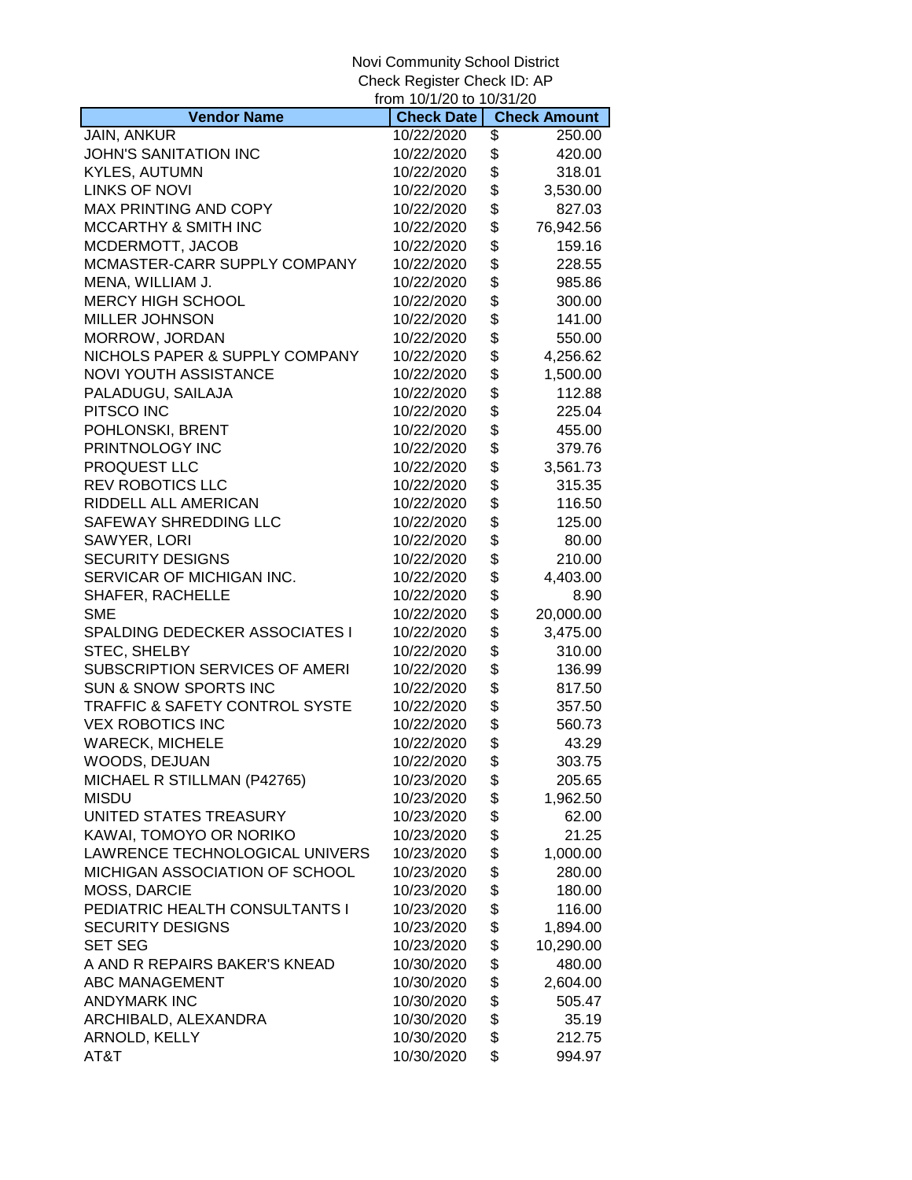|                                           | from 10/1/20 to 10/31/20 |                     |
|-------------------------------------------|--------------------------|---------------------|
| <b>Vendor Name</b>                        | <b>Check Date</b>        | <b>Check Amount</b> |
| <b>JAIN, ANKUR</b>                        | 10/22/2020               | \$<br>250.00        |
| JOHN'S SANITATION INC                     | 10/22/2020               | \$<br>420.00        |
| <b>KYLES, AUTUMN</b>                      | 10/22/2020               | \$<br>318.01        |
| <b>LINKS OF NOVI</b>                      | 10/22/2020               | \$<br>3,530.00      |
| MAX PRINTING AND COPY                     | 10/22/2020               | \$<br>827.03        |
| MCCARTHY & SMITH INC                      | 10/22/2020               | \$<br>76,942.56     |
| MCDERMOTT, JACOB                          | 10/22/2020               | \$<br>159.16        |
| MCMASTER-CARR SUPPLY COMPANY              | 10/22/2020               | \$<br>228.55        |
| MENA, WILLIAM J.                          | 10/22/2020               | \$<br>985.86        |
| <b>MERCY HIGH SCHOOL</b>                  | 10/22/2020               | \$<br>300.00        |
| <b>MILLER JOHNSON</b>                     | 10/22/2020               | \$<br>141.00        |
| MORROW, JORDAN                            | 10/22/2020               | \$<br>550.00        |
| NICHOLS PAPER & SUPPLY COMPANY            | 10/22/2020               | \$<br>4,256.62      |
| <b>NOVI YOUTH ASSISTANCE</b>              | 10/22/2020               | \$<br>1,500.00      |
| PALADUGU, SAILAJA                         | 10/22/2020               | \$<br>112.88        |
| PITSCO INC                                | 10/22/2020               | \$<br>225.04        |
| POHLONSKI, BRENT                          | 10/22/2020               | \$<br>455.00        |
| PRINTNOLOGY INC                           | 10/22/2020               | \$<br>379.76        |
| PROQUEST LLC                              | 10/22/2020               | \$<br>3,561.73      |
| REV ROBOTICS LLC                          | 10/22/2020               | \$<br>315.35        |
| RIDDELL ALL AMERICAN                      | 10/22/2020               | \$<br>116.50        |
| SAFEWAY SHREDDING LLC                     | 10/22/2020               | \$<br>125.00        |
| SAWYER, LORI                              | 10/22/2020               | \$<br>80.00         |
| <b>SECURITY DESIGNS</b>                   | 10/22/2020               | \$<br>210.00        |
| SERVICAR OF MICHIGAN INC.                 | 10/22/2020               | \$<br>4,403.00      |
| SHAFER, RACHELLE                          | 10/22/2020               | \$<br>8.90          |
| <b>SME</b>                                | 10/22/2020               | \$<br>20,000.00     |
| <b>SPALDING DEDECKER ASSOCIATES I</b>     | 10/22/2020               | \$<br>3,475.00      |
| STEC, SHELBY                              | 10/22/2020               | \$<br>310.00        |
| SUBSCRIPTION SERVICES OF AMERI            | 10/22/2020               | \$<br>136.99        |
| <b>SUN &amp; SNOW SPORTS INC</b>          | 10/22/2020               | \$<br>817.50        |
| <b>TRAFFIC &amp; SAFETY CONTROL SYSTE</b> | 10/22/2020               | \$<br>357.50        |
| <b>VEX ROBOTICS INC</b>                   | 10/22/2020               | \$<br>560.73        |
| <b>WARECK, MICHELE</b>                    | 10/22/2020               | \$<br>43.29         |
| WOODS, DEJUAN                             | 10/22/2020               | \$<br>303.75        |
| MICHAEL R STILLMAN (P42765)               | 10/23/2020               | \$<br>205.65        |
| <b>MISDU</b>                              | 10/23/2020               | \$<br>1,962.50      |
| UNITED STATES TREASURY                    | 10/23/2020               | \$<br>62.00         |
| KAWAI, TOMOYO OR NORIKO                   | 10/23/2020               | \$<br>21.25         |
| LAWRENCE TECHNOLOGICAL UNIVERS            | 10/23/2020               | \$<br>1,000.00      |
| MICHIGAN ASSOCIATION OF SCHOOL            | 10/23/2020               | \$<br>280.00        |
| MOSS, DARCIE                              | 10/23/2020               | \$<br>180.00        |
| PEDIATRIC HEALTH CONSULTANTS I            | 10/23/2020               | \$<br>116.00        |
| <b>SECURITY DESIGNS</b>                   | 10/23/2020               | \$<br>1,894.00      |
| <b>SET SEG</b>                            | 10/23/2020               | \$<br>10,290.00     |
| A AND R REPAIRS BAKER'S KNEAD             | 10/30/2020               | \$<br>480.00        |
| ABC MANAGEMENT                            | 10/30/2020               | \$<br>2,604.00      |
| <b>ANDYMARK INC</b>                       | 10/30/2020               | \$<br>505.47        |
| ARCHIBALD, ALEXANDRA                      | 10/30/2020               | \$<br>35.19         |
| ARNOLD, KELLY                             | 10/30/2020               | \$<br>212.75        |
| AT&T                                      | 10/30/2020               | \$<br>994.97        |
|                                           |                          |                     |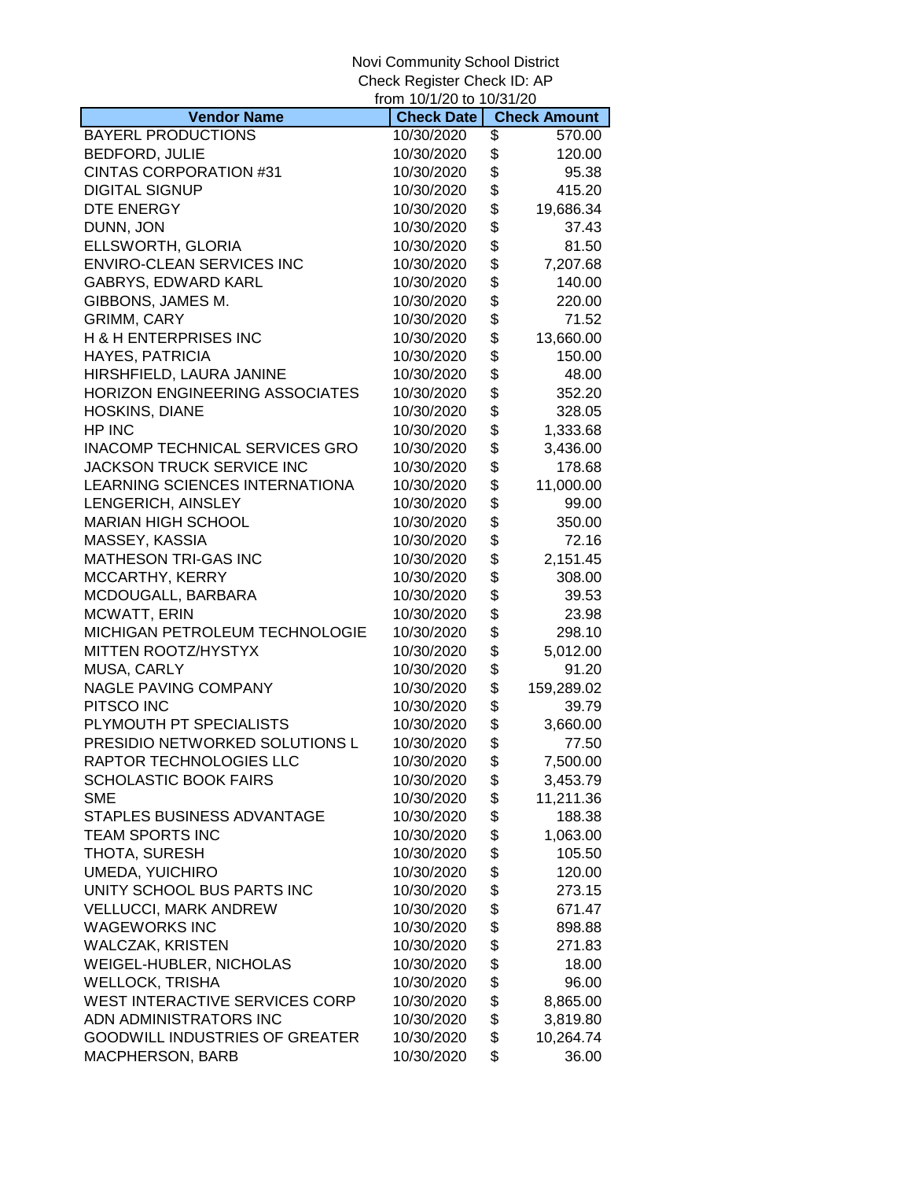|                                       | from 10/1/20 to 10/31/20 |                     |
|---------------------------------------|--------------------------|---------------------|
| <b>Vendor Name</b>                    | <b>Check Date</b>        | <b>Check Amount</b> |
| <b>BAYERL PRODUCTIONS</b>             | 10/30/2020               | \$<br>570.00        |
| <b>BEDFORD, JULIE</b>                 | 10/30/2020               | \$<br>120.00        |
| <b>CINTAS CORPORATION #31</b>         | 10/30/2020               | \$<br>95.38         |
| <b>DIGITAL SIGNUP</b>                 | 10/30/2020               | \$<br>415.20        |
| DTE ENERGY                            | 10/30/2020               | \$<br>19,686.34     |
| DUNN, JON                             | 10/30/2020               | \$<br>37.43         |
| ELLSWORTH, GLORIA                     | 10/30/2020               | \$<br>81.50         |
| <b>ENVIRO-CLEAN SERVICES INC</b>      | 10/30/2020               | \$<br>7,207.68      |
| GABRYS, EDWARD KARL                   | 10/30/2020               | \$<br>140.00        |
| GIBBONS, JAMES M.                     | 10/30/2020               | \$<br>220.00        |
| GRIMM, CARY                           | 10/30/2020               | \$<br>71.52         |
| <b>H &amp; H ENTERPRISES INC</b>      | 10/30/2020               | \$<br>13,660.00     |
| HAYES, PATRICIA                       | 10/30/2020               | \$<br>150.00        |
| HIRSHFIELD, LAURA JANINE              | 10/30/2020               | \$<br>48.00         |
| HORIZON ENGINEERING ASSOCIATES        | 10/30/2020               | \$<br>352.20        |
| HOSKINS, DIANE                        | 10/30/2020               | \$<br>328.05        |
| HP INC                                | 10/30/2020               | \$<br>1,333.68      |
| INACOMP TECHNICAL SERVICES GRO        | 10/30/2020               | \$<br>3,436.00      |
| JACKSON TRUCK SERVICE INC             | 10/30/2020               | \$<br>178.68        |
| LEARNING SCIENCES INTERNATIONA        | 10/30/2020               | \$<br>11,000.00     |
| LENGERICH, AINSLEY                    | 10/30/2020               | \$<br>99.00         |
| <b>MARIAN HIGH SCHOOL</b>             | 10/30/2020               | \$<br>350.00        |
| MASSEY, KASSIA                        | 10/30/2020               | \$<br>72.16         |
| <b>MATHESON TRI-GAS INC</b>           | 10/30/2020               | \$<br>2,151.45      |
| MCCARTHY, KERRY                       | 10/30/2020               | \$<br>308.00        |
| MCDOUGALL, BARBARA                    | 10/30/2020               | \$<br>39.53         |
| MCWATT, ERIN                          | 10/30/2020               | \$<br>23.98         |
| MICHIGAN PETROLEUM TECHNOLOGIE        | 10/30/2020               | \$<br>298.10        |
| MITTEN ROOTZ/HYSTYX                   | 10/30/2020               | \$<br>5,012.00      |
| MUSA, CARLY                           | 10/30/2020               | \$<br>91.20         |
| <b>NAGLE PAVING COMPANY</b>           | 10/30/2020               | \$<br>159,289.02    |
| PITSCO INC                            | 10/30/2020               | \$<br>39.79         |
| PLYMOUTH PT SPECIALISTS               | 10/30/2020               | \$<br>3,660.00      |
| PRESIDIO NETWORKED SOLUTIONS L        | 10/30/2020               | \$<br>77.50         |
| RAPTOR TECHNOLOGIES LLC               | 10/30/2020               | \$<br>7,500.00      |
| <b>SCHOLASTIC BOOK FAIRS</b>          | 10/30/2020               | \$<br>3,453.79      |
| <b>SME</b>                            | 10/30/2020               | \$<br>11,211.36     |
| STAPLES BUSINESS ADVANTAGE            | 10/30/2020               | \$<br>188.38        |
| TEAM SPORTS INC                       | 10/30/2020               | \$<br>1,063.00      |
| THOTA, SURESH                         | 10/30/2020               | \$<br>105.50        |
| <b>UMEDA, YUICHIRO</b>                | 10/30/2020               | \$<br>120.00        |
| UNITY SCHOOL BUS PARTS INC            | 10/30/2020               | \$<br>273.15        |
| <b>VELLUCCI, MARK ANDREW</b>          | 10/30/2020               | \$<br>671.47        |
| <b>WAGEWORKS INC</b>                  | 10/30/2020               | \$<br>898.88        |
| <b>WALCZAK, KRISTEN</b>               | 10/30/2020               | \$<br>271.83        |
| WEIGEL-HUBLER, NICHOLAS               | 10/30/2020               | \$<br>18.00         |
| <b>WELLOCK, TRISHA</b>                | 10/30/2020               | \$<br>96.00         |
| WEST INTERACTIVE SERVICES CORP        | 10/30/2020               | \$<br>8,865.00      |
| ADN ADMINISTRATORS INC                | 10/30/2020               | \$<br>3,819.80      |
| <b>GOODWILL INDUSTRIES OF GREATER</b> | 10/30/2020               | \$<br>10,264.74     |
| <b>MACPHERSON, BARB</b>               | 10/30/2020               | \$<br>36.00         |